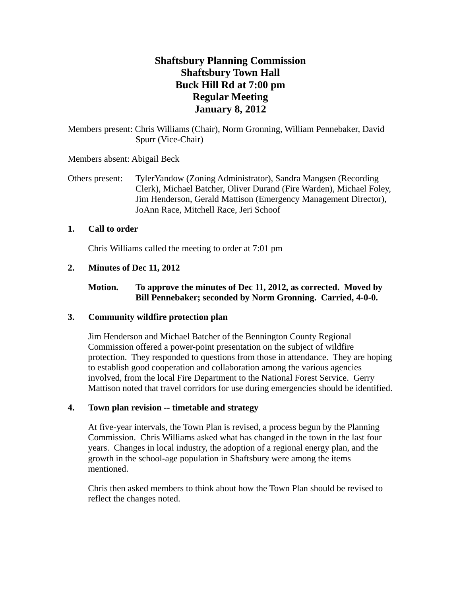# **Shaftsbury Planning Commission Shaftsbury Town Hall Buck Hill Rd at 7:00 pm Regular Meeting January 8, 2012**

Members present: Chris Williams (Chair), Norm Gronning, William Pennebaker, David Spurr (Vice-Chair)

Members absent: Abigail Beck

Others present: TylerYandow (Zoning Administrator), Sandra Mangsen (Recording Clerk), Michael Batcher, Oliver Durand (Fire Warden), Michael Foley, Jim Henderson, Gerald Mattison (Emergency Management Director), JoAnn Race, Mitchell Race, Jeri Schoof

## **1. Call to order**

Chris Williams called the meeting to order at 7:01 pm

## **2. Minutes of Dec 11, 2012**

# **Motion. To approve the minutes of Dec 11, 2012, as corrected. Moved by Bill Pennebaker; seconded by Norm Gronning. Carried, 4-0-0.**

## **3. Community wildfire protection plan**

Jim Henderson and Michael Batcher of the Bennington County Regional Commission offered a power-point presentation on the subject of wildfire protection. They responded to questions from those in attendance. They are hoping to establish good cooperation and collaboration among the various agencies involved, from the local Fire Department to the National Forest Service. Gerry Mattison noted that travel corridors for use during emergencies should be identified.

#### **4. Town plan revision -- timetable and strategy**

At five-year intervals, the Town Plan is revised, a process begun by the Planning Commission. Chris Williams asked what has changed in the town in the last four years. Changes in local industry, the adoption of a regional energy plan, and the growth in the school-age population in Shaftsbury were among the items mentioned.

Chris then asked members to think about how the Town Plan should be revised to reflect the changes noted.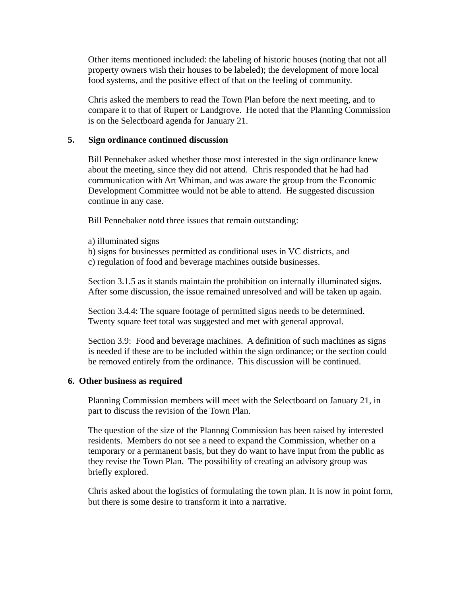Other items mentioned included: the labeling of historic houses (noting that not all property owners wish their houses to be labeled); the development of more local food systems, and the positive effect of that on the feeling of community.

Chris asked the members to read the Town Plan before the next meeting, and to compare it to that of Rupert or Landgrove. He noted that the Planning Commission is on the Selectboard agenda for January 21.

#### **5. Sign ordinance continued discussion**

Bill Pennebaker asked whether those most interested in the sign ordinance knew about the meeting, since they did not attend. Chris responded that he had had communication with Art Whiman, and was aware the group from the Economic Development Committee would not be able to attend. He suggested discussion continue in any case.

Bill Pennebaker notd three issues that remain outstanding:

- a) illuminated signs
- b) signs for businesses permitted as conditional uses in VC districts, and c) regulation of food and beverage machines outside businesses.

Section 3.1.5 as it stands maintain the prohibition on internally illuminated signs. After some discussion, the issue remained unresolved and will be taken up again.

Section 3.4.4: The square footage of permitted signs needs to be determined. Twenty square feet total was suggested and met with general approval.

Section 3.9: Food and beverage machines. A definition of such machines as signs is needed if these are to be included within the sign ordinance; or the section could be removed entirely from the ordinance. This discussion will be continued.

#### **6. Other business as required**

Planning Commission members will meet with the Selectboard on January 21, in part to discuss the revision of the Town Plan.

The question of the size of the Plannng Commission has been raised by interested residents. Members do not see a need to expand the Commission, whether on a temporary or a permanent basis, but they do want to have input from the public as they revise the Town Plan. The possibility of creating an advisory group was briefly explored.

Chris asked about the logistics of formulating the town plan. It is now in point form, but there is some desire to transform it into a narrative.